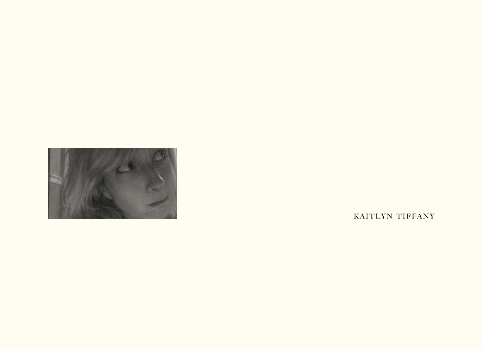

KAITLYN TIFFANY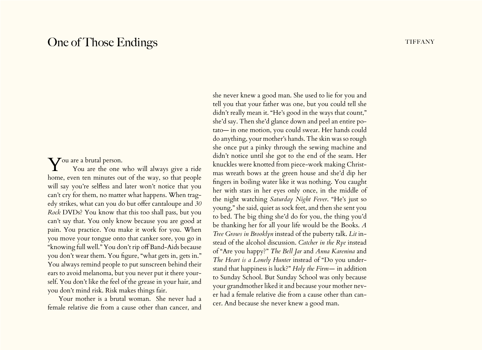## One of Those Endings the state of the state of the state of the state of the state of the state of the state of the state of the state of the state of the state of the state of the state of the state of the state of the st

## You are a brutal person.

You are the one who will always give a ride home, even ten minutes out of the way, so that people will say you're selfless and later won't notice that you can't cry for them, no matter what happens. When tragedy strikes, what can you do but offer cantaloupe and *30 Rock* DVDs? You know that this too shall pass, but you can't say that. You only know because you are good at pain. You practice. You make it work for you. When you move your tongue onto that canker sore, you go in "knowing full well." You don't rip off Band-Aids because you don't wear them. You figure, "what gets in, gets in." You always remind people to put sunscreen behind their ears to avoid melanoma, but you never put it there yourself. You don't like the feel of the grease in your hair, and you don't mind risk. Risk makes things fair.

Your mother is a brutal woman. She never had a female relative die from a cause other than cancer, and

she never knew a good man. She used to lie for you and tell you that your father was one, but you could tell she didn't really mean it. "He's good in the ways that count," she'd say. Then she'd glance down and peel an entire potato— in one motion, you could swear. Her hands could do anything, your mother's hands. The skin was so rough she once put a pinky through the sewing machine and didn't notice until she got to the end of the seam. Her knuckles were knotted from piece-work making Christmas wreath bows at the green house and she'd dip her fingers in boiling water like it was nothing. You caught her with stars in her eyes only once, in the middle of the night watching *Saturday Night Fever*. "He's just so young," she said, quiet as sock feet, and then she sent you to bed. The big thing she'd do for you, the thing you'd be thanking her for all your life would be the Books. *A Tree Grows in Brooklyn* instead of the puberty talk. *Lit* instead of the alcohol discussion. *Catcher in the Rye* instead of "Are you happy?" *The Bell Jar* and *Anna Karenina* and *The Heart is a Lonely Hunter* instead of "Do you understand that happiness is luck?" *Holy the Firm—* in addition to Sunday School. But Sunday School was only because your grandmother liked it and because your mother never had a female relative die from a cause other than cancer. And because she never knew a good man.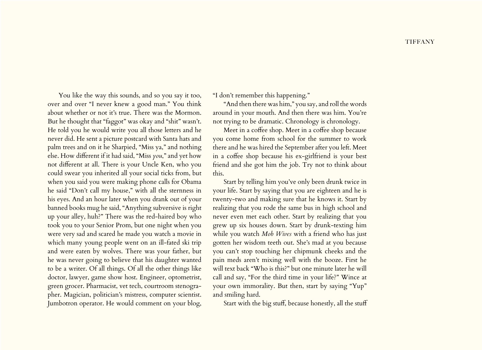You like the way this sounds, and so you say it too, over and over "I never knew a good man." You think about whether or not it's true. There was the Mormon. But he thought that "faggot" was okay and "shit" wasn't. He told you he would write you all those letters and he never did. He sent a picture postcard with Santa hats and palm trees and on it he Sharpied, "Miss ya," and nothing else. How different if it had said, "Miss *you*," and yet how not different at all. There is your Uncle Ken, who you could swear you inherited all your social ticks from, but when you said you were making phone calls for Obama he said "Don't call my house," with all the sternness in his eyes. And an hour later when you drank out of your banned books mug he said, "Anything subversive is right up your alley, huh?" There was the red-haired boy who took you to your Senior Prom, but one night when you were very sad and scared he made you watch a movie in which many young people went on an ill-fated ski trip and were eaten by wolves. There was your father, but he was never going to believe that his daughter wanted to be a writer. Of all things. Of all the other things like doctor, lawyer, game show host. Engineer, optometrist, green grocer. Pharmacist, vet tech, courtroom stenographer. Magician, politician's mistress, computer scientist. Jumbotron operator. He would comment on your blog,

"I don't remember this happening."

"And then there was him," you say, and roll the words around in your mouth. And then there was him. You're not trying to be dramatic. Chronology is chronology.

Meet in a coffee shop. Meet in a coffee shop because you come home from school for the summer to work there and he was hired the September after you left. Meet in a coffee shop because his ex-girlfriend is your best friend and she got him the job. Try not to think about this.

Start by telling him you've only been drunk twice in your life. Start by saying that you are eighteen and he is twenty-two and making sure that he knows it. Start by realizing that you rode the same bus in high school and never even met each other. Start by realizing that you grew up six houses down. Start by drunk-texting him while you watch *Mob Wives* with a friend who has just gotten her wisdom teeth out. She's mad at you because you can't stop touching her chipmunk cheeks and the pain meds aren't mixing well with the booze. First he will text back "Who is this?" but one minute later he will call and say, "For the third time in your life?" Wince at your own immorality. But then, start by saying "Yup" and smiling hard.

Start with the big stuff, because honestly, all the stuff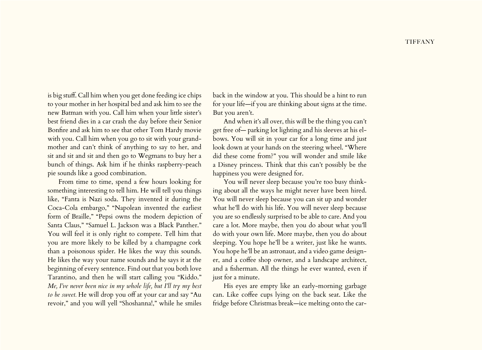is big stuff. Call him when you get done feeding ice chips to your mother in her hospital bed and ask him to see the new Batman with you. Call him when your little sister's best friend dies in a car crash the day before their Senior Bonfire and ask him to see that other Tom Hardy movie with you. Call him when you go to sit with your grandmother and can't think of anything to say to her, and sit and sit and sit and then go to Wegmans to buy her a bunch of things. Ask him if he thinks raspberry-peach pie sounds like a good combination.

From time to time, spend a few hours looking for something interesting to tell him. He will tell you things like, "Fanta is Nazi soda. They invented it during the Coca-Cola embargo," "Napolean invented the earliest form of Braille," "Pepsi owns the modern depiction of Santa Claus," "Samuel L. Jackson was a Black Panther." You will feel it is only right to compete. Tell him that you are more likely to be killed by a champagne cork than a poisonous spider. He likes the way this sounds. He likes the way your name sounds and he says it at the beginning of every sentence. Find out that you both love Tarantino, and then he will start calling you "Kiddo." *Me, I've never been nice in my whole life, but I'll try my best to be sweet.* He will drop you off at your car and say "Au revoir," and you will yell "Shoshanna!," while he smiles

back in the window at you. This should be a hint to run for your life—if you are thinking about signs at the time. But you aren't.

And when it's all over, this will be the thing you can't get free of— parking lot lighting and his sleeves at his elbows. You will sit in your car for a long time and just look down at your hands on the steering wheel. "Where did these come from?" you will wonder and smile like a Disney princess. Think that this can't possibly be the happiness you were designed for.

You will never sleep because you're too busy thinking about all the ways he might never have been hired. You will never sleep because you can sit up and wonder what he'll do with his life. You will never sleep because you are so endlessly surprised to be able to care. And you care a lot. More maybe, then you do about what you'll do with your own life. More maybe, then you do about sleeping. You hope he'll be a writer, just like he wants. You hope he'll be an astronaut, and a video game designer, and a coffee shop owner, and a landscape architect, and a fisherman. All the things he ever wanted, even if just for a minute.

His eyes are empty like an early-morning garbage can. Like coffee cups lying on the back seat. Like the fridge before Christmas break—ice melting onto the car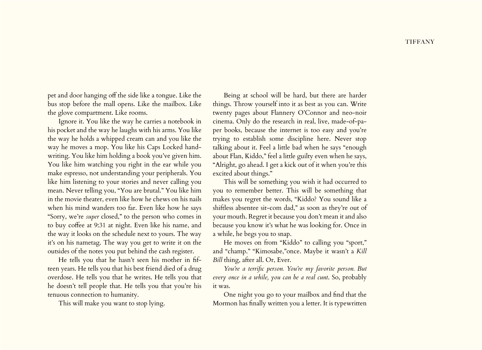pet and door hanging off the side like a tongue. Like the bus stop before the mall opens. Like the mailbox. Like the glove compartment. Like rooms.

Ignore it. You like the way he carries a notebook in his pocket and the way he laughs with his arms. You like the way he holds a whipped cream can and you like the way he moves a mop. You like his Caps Locked handwriting. You like him holding a book you've given him. You like him watching you right in the ear while you make espresso, not understanding your peripherals. You like him listening to your stories and never calling you mean. Never telling you, "You are brutal." You like him in the movie theater, even like how he chews on his nails when his mind wanders too far. Even like how he says "Sorry, we're *super* closed," to the person who comes in to buy coffee at 9:31 at night. Even like his name, and the way it looks on the schedule next to yours. The way it's on his nametag. The way you get to write it on the outsides of the notes you put behind the cash register.

He tells you that he hasn't seen his mother in fifteen years. He tells you that his best friend died of a drug overdose. He tells you that he writes. He tells you that he doesn't tell people that. He tells you that you're his tenuous connection to humanity.

This will make you want to stop lying.

Being at school will be hard, but there are harder things. Throw yourself into it as best as you can. Write twenty pages about Flannery O'Connor and neo-noir cinema. Only do the research in real, live, made-of-paper books, because the internet is too easy and you're trying to establish some discipline here. Never stop talking about it. Feel a little bad when he says "enough about Flan, Kiddo," feel a little guilty even when he says, "Alright, go ahead. I get a kick out of it when you're this excited about things."

This will be something you wish it had occurred to you to remember better. This will be something that makes you regret the words, "Kiddo? You sound like a shiftless absentee sit-com dad," as soon as they're out of your mouth. Regret it because you don't mean it and also because you know it's what he was looking for. Once in a while, he begs you to snap.

He moves on from "Kiddo" to calling you "sport," and "champ." "Kimosabe,"once. Maybe it wasn't a *Kill Bill* thing, after all. Or, Ever.

*You're a terrific person. You're my favorite person. But every once in a while, you can be a real cunt*. So, probably it was.

One night you go to your mailbox and find that the Mormon has finally written you a letter. It is typewritten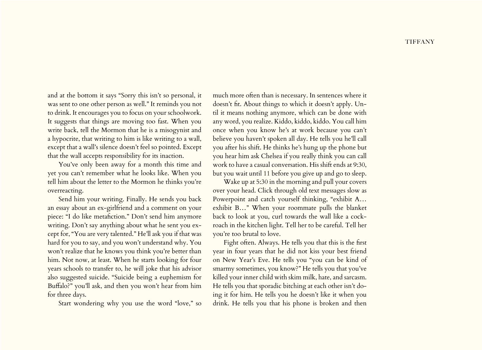and at the bottom it says "Sorry this isn't so personal, it was sent to one other person as well." It reminds you not to drink. It encourages you to focus on your schoolwork. It suggests that things are moving too fast. When you write back, tell the Mormon that he is a misogynist and a hypocrite, that writing to him is like writing to a wall, except that a wall's silence doesn't feel so pointed. Except that the wall accepts responsibility for its inaction.

You've only been away for a month this time and yet you can't remember what he looks like. When you tell him about the letter to the Mormon he thinks you're overreacting.

Send him your writing. Finally. He sends you back an essay about an ex-girlfriend and a comment on your piece: "I do like metafiction." Don't send him anymore writing. Don't say anything about what he sent you except for, "You are very talented." He'll ask you if that was hard for you to say, and you won't understand why. You won't realize that he knows you think you're better than him. Not now, at least. When he starts looking for four years schools to transfer to, he will joke that his advisor also suggested suicide. "Suicide being a euphemism for Buffalo?" you'll ask, and then you won't hear from him for three days.

Start wondering why you use the word "love," so

much more often than is necessary. In sentences where it doesn't fit. About things to which it doesn't apply. Until it means nothing anymore, which can be done with any word, you realize. Kiddo, kiddo, kiddo. You call him once when you know he's at work because you can't believe you haven't spoken all day. He tells you he'll call you after his shift. He thinks he's hung up the phone but you hear him ask Chelsea if you really think you can call work to have a casual conversation. His shift ends at 9:30, but you wait until 11 before you give up and go to sleep.

Wake up at 5:30 in the morning and pull your covers over your head. Click through old text messages slow as Powerpoint and catch yourself thinking, "exhibit A… exhibit B…" When your roommate pulls the blanket back to look at you, curl towards the wall like a cockroach in the kitchen light. Tell her to be careful. Tell her you're too brutal to love.

Fight often. Always. He tells you that this is the first year in four years that he did not kiss your best friend on New Year's Eve. He tells you "you can be kind of smarmy sometimes, you know?" He tells you that you've killed your inner child with skim milk, hate, and sarcasm. He tells you that sporadic bitching at each other isn't doing it for him. He tells you he doesn't like it when you drink. He tells you that his phone is broken and then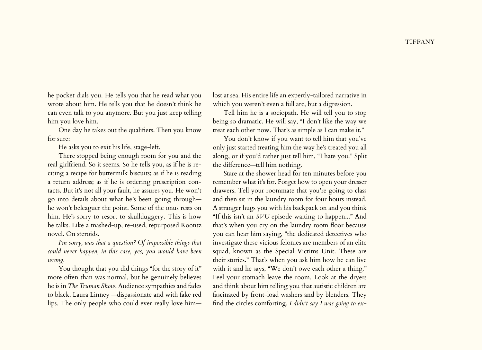**TIFFANY** 

he pocket dials you. He tells you that he read what you wrote about him. He tells you that he doesn't think he can even talk to you anymore. But you just keep telling him you love him.

One day he takes out the qualifiers. Then you know for sure:

He asks you to exit his life, stage-left.

There stopped being enough room for you and the real girlfriend. So it seems. So he tells you, as if he is reciting a recipe for buttermilk biscuits; as if he is reading a return address; as if he is ordering prescription contacts. But it's not all your fault, he assures you. He won't go into details about what he's been going through he won't beleaguer the point. Some of the onus rests on him. He's sorry to resort to skullduggery. This is how he talks. Like a mashed-up, re-used, repurposed Koontz novel. On steroids.

*I'm sorry, was that a question? Of impossible things that could never happen, in this case, yes, you would have been wrong.*

You thought that you did things "for the story of it" more often than was normal, but he genuinely believes he is in *The Truman Show*. Audience sympathies and fades to black. Laura Linney —dispassionate and with fake red lips. The only people who could ever really love himlost at sea. His entire life an expertly-tailored narrative in which you weren't even a full arc, but a digression.

Tell him he is a sociopath. He will tell you to stop being so dramatic. He will say, "I don't like the way we treat each other now. That's as simple as I can make it."

You don't know if you want to tell him that you've only just started treating him the way he's treated you all along, or if you'd rather just tell him, "I hate you." Split the difference—tell him nothing.

Stare at the shower head for ten minutes before you remember what it's for. Forget how to open your dresser drawers. Tell your roommate that you're going to class and then sit in the laundry room for four hours instead. A stranger hugs you with his backpack on and you think "If this isn't an *SVU* episode waiting to happen..." And that's when you cry on the laundry room floor because you can hear him saying, "the dedicated detectives who investigate these vicious felonies are members of an elite squad, known as the Special Victims Unit. These are their stories." That's when you ask him how he can live with it and he says, "We don't owe each other a thing." Feel your stomach leave the room. Look at the dryers and think about him telling you that autistic children are fascinated by front-load washers and by blenders. They find the circles comforting. *I didn't say I was going to ex-*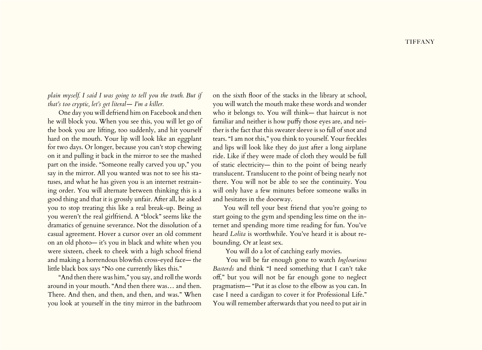*plain myself. I said I was going to tell you the truth. But if that's too cryptic, let's get literal— I'm a killer.*

One day you will defriend him on Facebook and then he will block you. When you see this, you will let go of the book you are lifting, too suddenly, and hit yourself hard on the mouth. Your lip will look like an eggplant for two days. Or longer, because you can't stop chewing on it and pulling it back in the mirror to see the mashed part on the inside. "Someone really carved you up," you say in the mirror. All you wanted was not to see his statuses, and what he has given you is an internet restraining order. You will alternate between thinking this is a good thing and that it is grossly unfair. After all, he asked you to stop treating this like a real break-up. Being as you weren't the real girlfriend. A "block" seems like the dramatics of genuine severance. Not the dissolution of a casual agreement. Hover a cursor over an old comment on an old photo— it's you in black and white when you were sixteen, cheek to cheek with a high school friend and making a horrendous blowfish cross-eyed face— the little black box says "No one currently likes this."

"And then there was him," you say, and roll the words around in your mouth. "And then there was… and then. There. And then, and then, and then, and was." When you look at yourself in the tiny mirror in the bathroom

on the sixth floor of the stacks in the library at school, you will watch the mouth make these words and wonder who it belongs to. You will think— that haircut is not familiar and neither is how puffy those eyes are, and neither is the fact that this sweater sleeve is so full of snot and tears. "I am not this," you think to yourself. Your freckles and lips will look like they do just after a long airplane ride. Like if they were made of cloth they would be full of static electricity— thin to the point of being nearly translucent. Translucent to the point of being nearly not there. You will not be able to see the continuity. You will only have a few minutes before someone walks in and hesitates in the doorway.

You will tell your best friend that you're going to start going to the gym and spending less time on the internet and spending more time reading for fun. You've heard *Lolita* is worthwhile. You've heard it is about rebounding. Or at least sex.

You will do a lot of catching early movies.

 You will be far enough gone to watch *Inglourious Basterds* and think "I need something that I can't take off," but you will not be far enough gone to neglect pragmatism— "Put it as close to the elbow as you can. In case I need a cardigan to cover it for Professional Life." You will remember afterwards that you need to put air in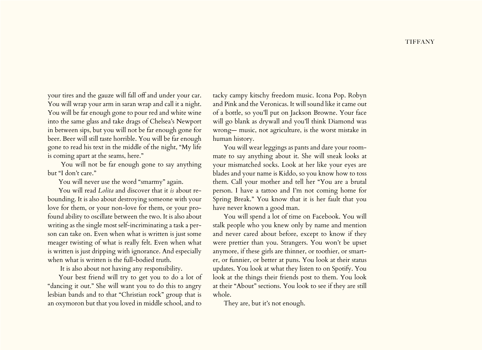your tires and the gauze will fall off and under your car. You will wrap your arm in saran wrap and call it a night. You will be far enough gone to pour red and white wine into the same glass and take drags of Chelsea's Newport in between sips, but you will not be far enough gone for beer. Beer will still taste horrible. You will be far enough gone to read his text in the middle of the night, "My life is coming apart at the seams, here."

 You will not be far enough gone to say anything but "I don't care."

You will never use the word "smarmy" again.

You will read *Lolita* and discover that it *is* about rebounding. It is also about destroying someone with your love for them, or your non-love for them, or your profound ability to oscillate between the two. It is also about writing as the single most self-incriminating a task a person can take on. Even when what is written is just some meager twisting of what is really felt. Even when what is written is just dripping with ignorance. And especially when what is written is the full-bodied truth.

It is also about not having any responsibility.

Your best friend will try to get you to do a lot of "dancing it out." She will want you to do this to angry lesbian bands and to that "Christian rock" group that is an oxymoron but that you loved in middle school, and to

tacky campy kitschy freedom music. Icona Pop. Robyn and Pink and the Veronicas. It will sound like it came out of a bottle, so you'll put on Jackson Browne. Your face will go blank as drywall and you'll think Diamond was wrong— music, not agriculture, is the worst mistake in human history.

You will wear leggings as pants and dare your roommate to say anything about it. She will sneak looks at your mismatched socks. Look at her like your eyes are blades and your name is Kiddo, so you know how to toss them. Call your mother and tell her "You are a brutal person. I have a tattoo and I'm not coming home for Spring Break." You know that it is her fault that you have never known a good man.

You will spend a lot of time on Facebook. You will stalk people who you knew only by name and mention and never cared about before, except to know if they were prettier than you. Strangers. You won't be upset anymore, if these girls are thinner, or toothier, or smarter, or funnier, or better at puns. You look at their status updates. You look at what they listen to on Spotify. You look at the things their friends post to them. You look at their "About" sections. You look to see if they are still whole.

They are, but it's not enough.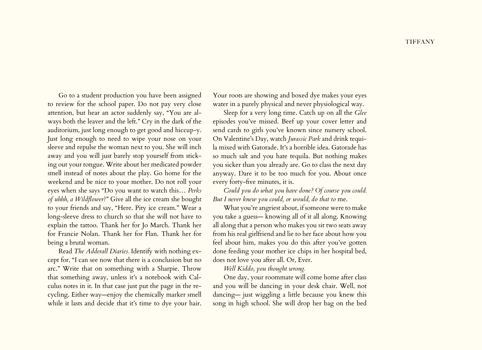Go to a student production you have been assigned to review for the school paper. Do not pay very close attention, but hear an actor suddenly say, "You are always both the leaver and the left." Cry in the dark of the auditorium, just long enough to get good and hiccup-y. Just long enough to need to wipe your nose on your sleeve and repulse the woman next to you. She will inch away and you will just barely stop yourself from sticking out your tongue. Write about her medicated powder smell instead of notes about the play. Go home for the weekend and be nice to your mother. Do not roll your eyes when she says "Do you want to watch this… *Perks of uhhh, a Wildflower*?" Give all the ice cream she bought to your friends and say, "Here. Pity ice cream." Wear a long-sleeve dress to church so that she will not have to explain the tattoo. Thank her for Jo March. Thank her for Francie Nolan. Thank her for Flan. Thank her for being a brutal woman.

Read *The Adderall Diaries.* Identify with nothing except for, "I can see now that there is a conclusion but no arc." Write that on something with a Sharpie. Throw that something away, unless it's a notebook with Calculus notes in it. In that case just put the page in the recycling. Either way—enjoy the chemically marker smell while it lasts and decide that it's time to dye your hair. Your roots are showing and boxed dye makes your eyes water in a purely physical and never physiological way.

Sleep for a very long time. Catch up on all the *Glee* episodes you've missed. Beef up your cover letter and send cards to girls you've known since nursery school. On Valentine's Day, watch *Jurassic Park* and drink tequila mixed with Gatorade. It's a horrible idea. Gatorade has so much salt and you hate tequila. But nothing makes you sicker than you already are. Go to class the next day anyway. Dare it to be too much for you. About once every forty-five minutes, it is.

*Could you do what you have done? Of course you could. But I never knew you could, or would, do that to* me.

What you're angriest about, if someone were to make you take a guess— knowing all of it all along. Knowing all along that a person who makes you sit two seats away from his real girlfriend and lie to her face about how you feel about him, makes you do this after you've gotten done feeding your mother ice chips in her hospital bed, does not love you after all. Or, Ever.

*Well Kiddo, you thought wrong.*

One day, your roommate will come home after class and you will be dancing in your desk chair. Well, not dancing— just wiggling a little because you knew this song in high school. She will drop her bag on the bed